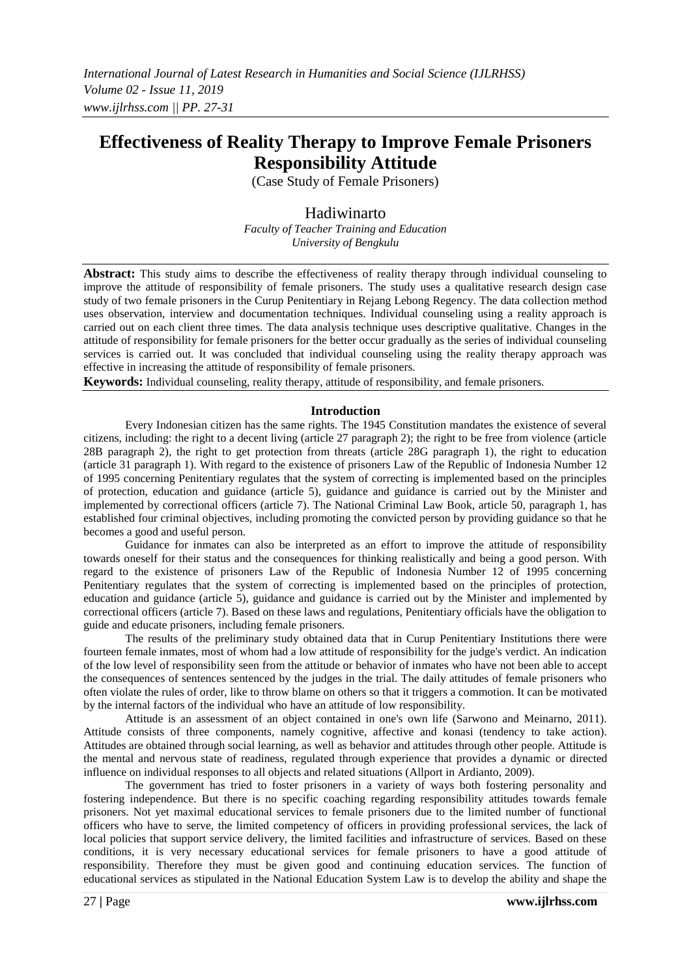# **Effectiveness of Reality Therapy to Improve Female Prisoners Responsibility Attitude**

(Case Study of Female Prisoners)

## Hadiwinarto

*Faculty of Teacher Training and Education University of Bengkulu*

**Abstract:** This study aims to describe the effectiveness of reality therapy through individual counseling to improve the attitude of responsibility of female prisoners. The study uses a qualitative research design case study of two female prisoners in the Curup Penitentiary in Rejang Lebong Regency. The data collection method uses observation, interview and documentation techniques. Individual counseling using a reality approach is carried out on each client three times. The data analysis technique uses descriptive qualitative. Changes in the attitude of responsibility for female prisoners for the better occur gradually as the series of individual counseling services is carried out. It was concluded that individual counseling using the reality therapy approach was effective in increasing the attitude of responsibility of female prisoners.

**Keywords:** Individual counseling, reality therapy, attitude of responsibility, and female prisoners.

#### **Introduction**

Every Indonesian citizen has the same rights. The 1945 Constitution mandates the existence of several citizens, including: the right to a decent living (article 27 paragraph 2); the right to be free from violence (article 28B paragraph 2), the right to get protection from threats (article 28G paragraph 1), the right to education (article 31 paragraph 1). With regard to the existence of prisoners Law of the Republic of Indonesia Number 12 of 1995 concerning Penitentiary regulates that the system of correcting is implemented based on the principles of protection, education and guidance (article 5), guidance and guidance is carried out by the Minister and implemented by correctional officers (article 7). The National Criminal Law Book, article 50, paragraph 1, has established four criminal objectives, including promoting the convicted person by providing guidance so that he becomes a good and useful person.

Guidance for inmates can also be interpreted as an effort to improve the attitude of responsibility towards oneself for their status and the consequences for thinking realistically and being a good person. With regard to the existence of prisoners Law of the Republic of Indonesia Number 12 of 1995 concerning Penitentiary regulates that the system of correcting is implemented based on the principles of protection, education and guidance (article 5), guidance and guidance is carried out by the Minister and implemented by correctional officers (article 7). Based on these laws and regulations, Penitentiary officials have the obligation to guide and educate prisoners, including female prisoners.

The results of the preliminary study obtained data that in Curup Penitentiary Institutions there were fourteen female inmates, most of whom had a low attitude of responsibility for the judge's verdict. An indication of the low level of responsibility seen from the attitude or behavior of inmates who have not been able to accept the consequences of sentences sentenced by the judges in the trial. The daily attitudes of female prisoners who often violate the rules of order, like to throw blame on others so that it triggers a commotion. It can be motivated by the internal factors of the individual who have an attitude of low responsibility.

Attitude is an assessment of an object contained in one's own life (Sarwono and Meinarno, 2011). Attitude consists of three components, namely cognitive, affective and konasi (tendency to take action). Attitudes are obtained through social learning, as well as behavior and attitudes through other people. Attitude is the mental and nervous state of readiness, regulated through experience that provides a dynamic or directed influence on individual responses to all objects and related situations (Allport in Ardianto, 2009).

The government has tried to foster prisoners in a variety of ways both fostering personality and fostering independence. But there is no specific coaching regarding responsibility attitudes towards female prisoners. Not yet maximal educational services to female prisoners due to the limited number of functional officers who have to serve, the limited competency of officers in providing professional services, the lack of local policies that support service delivery, the limited facilities and infrastructure of services. Based on these conditions, it is very necessary educational services for female prisoners to have a good attitude of responsibility. Therefore they must be given good and continuing education services. The function of educational services as stipulated in the National Education System Law is to develop the ability and shape the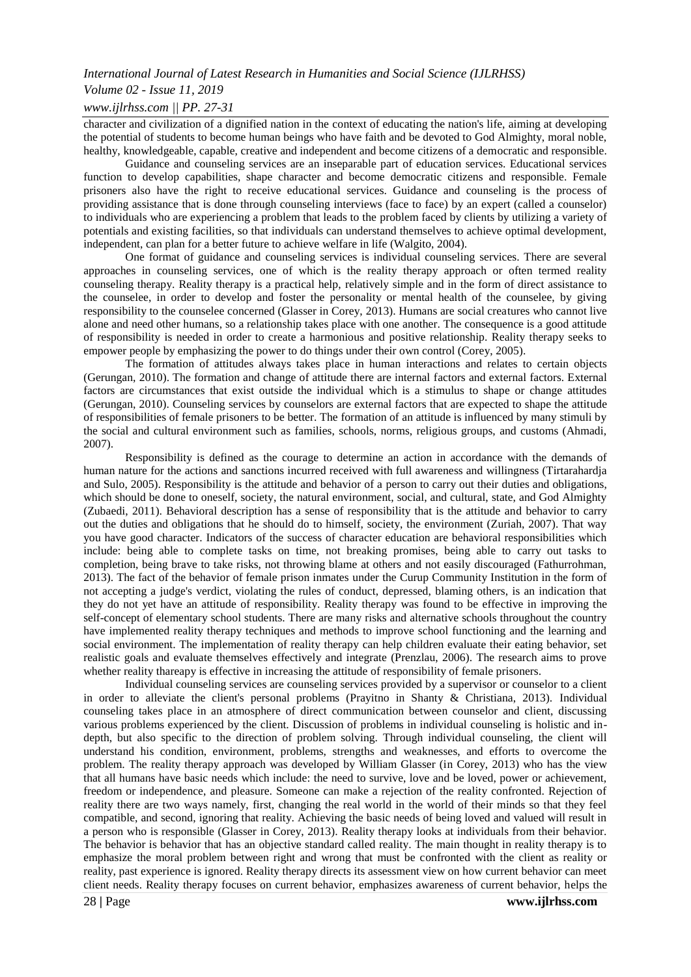## *Volume 02 - Issue 11, 2019*

### *www.ijlrhss.com || PP. 27-31*

character and civilization of a dignified nation in the context of educating the nation's life, aiming at developing the potential of students to become human beings who have faith and be devoted to God Almighty, moral noble, healthy, knowledgeable, capable, creative and independent and become citizens of a democratic and responsible.

Guidance and counseling services are an inseparable part of education services. Educational services function to develop capabilities, shape character and become democratic citizens and responsible. Female prisoners also have the right to receive educational services. Guidance and counseling is the process of providing assistance that is done through counseling interviews (face to face) by an expert (called a counselor) to individuals who are experiencing a problem that leads to the problem faced by clients by utilizing a variety of potentials and existing facilities, so that individuals can understand themselves to achieve optimal development, independent, can plan for a better future to achieve welfare in life (Walgito, 2004).

One format of guidance and counseling services is individual counseling services. There are several approaches in counseling services, one of which is the reality therapy approach or often termed reality counseling therapy. Reality therapy is a practical help, relatively simple and in the form of direct assistance to the counselee, in order to develop and foster the personality or mental health of the counselee, by giving responsibility to the counselee concerned (Glasser in Corey, 2013). Humans are social creatures who cannot live alone and need other humans, so a relationship takes place with one another. The consequence is a good attitude of responsibility is needed in order to create a harmonious and positive relationship. Reality therapy seeks to empower people by emphasizing the power to do things under their own control (Corey, 2005).

The formation of attitudes always takes place in human interactions and relates to certain objects (Gerungan, 2010). The formation and change of attitude there are internal factors and external factors. External factors are circumstances that exist outside the individual which is a stimulus to shape or change attitudes (Gerungan, 2010). Counseling services by counselors are external factors that are expected to shape the attitude of responsibilities of female prisoners to be better. The formation of an attitude is influenced by many stimuli by the social and cultural environment such as families, schools, norms, religious groups, and customs (Ahmadi, 2007).

Responsibility is defined as the courage to determine an action in accordance with the demands of human nature for the actions and sanctions incurred received with full awareness and willingness (Tirtarahardja and Sulo, 2005). Responsibility is the attitude and behavior of a person to carry out their duties and obligations, which should be done to oneself, society, the natural environment, social, and cultural, state, and God Almighty (Zubaedi, 2011). Behavioral description has a sense of responsibility that is the attitude and behavior to carry out the duties and obligations that he should do to himself, society, the environment (Zuriah, 2007). That way you have good character. Indicators of the success of character education are behavioral responsibilities which include: being able to complete tasks on time, not breaking promises, being able to carry out tasks to completion, being brave to take risks, not throwing blame at others and not easily discouraged (Fathurrohman, 2013). The fact of the behavior of female prison inmates under the Curup Community Institution in the form of not accepting a judge's verdict, violating the rules of conduct, depressed, blaming others, is an indication that they do not yet have an attitude of responsibility. Reality therapy was found to be effective in improving the self-concept of elementary school students. There are many risks and alternative schools throughout the country have implemented reality therapy techniques and methods to improve school functioning and the learning and social environment. The implementation of reality therapy can help children evaluate their eating behavior, set realistic goals and evaluate themselves effectively and integrate (Prenzlau, 2006). The research aims to prove whether reality thareapy is effective in increasing the attitude of responsibility of female prisoners.

Individual counseling services are counseling services provided by a supervisor or counselor to a client in order to alleviate the client's personal problems (Prayitno in Shanty & Christiana, 2013). Individual counseling takes place in an atmosphere of direct communication between counselor and client, discussing various problems experienced by the client. Discussion of problems in individual counseling is holistic and indepth, but also specific to the direction of problem solving. Through individual counseling, the client will understand his condition, environment, problems, strengths and weaknesses, and efforts to overcome the problem. The reality therapy approach was developed by William Glasser (in Corey, 2013) who has the view that all humans have basic needs which include: the need to survive, love and be loved, power or achievement, freedom or independence, and pleasure. Someone can make a rejection of the reality confronted. Rejection of reality there are two ways namely, first, changing the real world in the world of their minds so that they feel compatible, and second, ignoring that reality. Achieving the basic needs of being loved and valued will result in a person who is responsible (Glasser in Corey, 2013). Reality therapy looks at individuals from their behavior. The behavior is behavior that has an objective standard called reality. The main thought in reality therapy is to emphasize the moral problem between right and wrong that must be confronted with the client as reality or reality, past experience is ignored. Reality therapy directs its assessment view on how current behavior can meet client needs. Reality therapy focuses on current behavior, emphasizes awareness of current behavior, helps the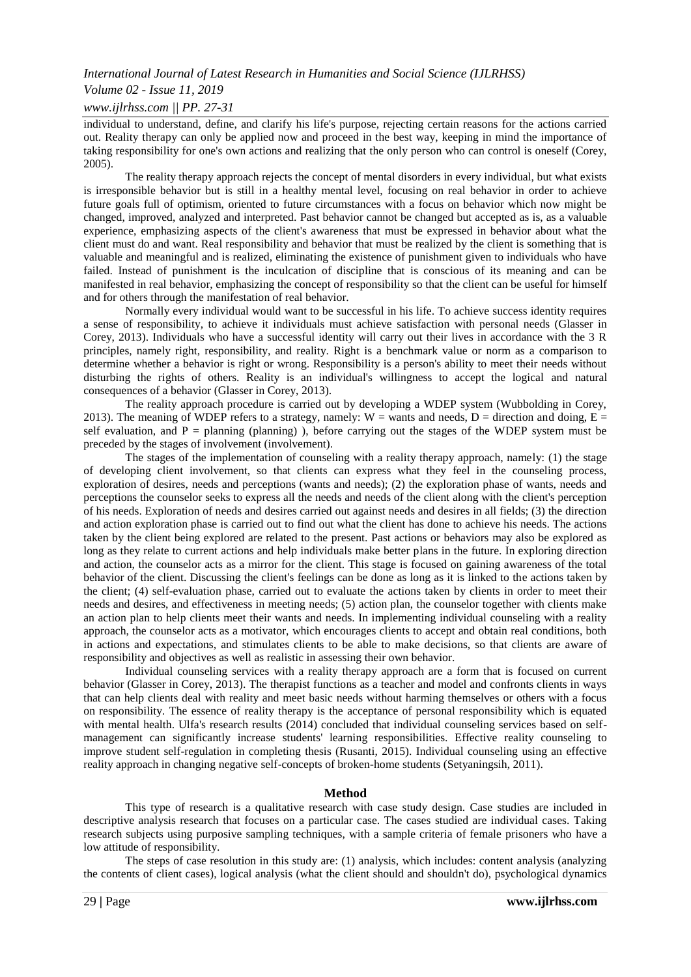## *Volume 02 - Issue 11, 2019*

### *www.ijlrhss.com || PP. 27-31*

individual to understand, define, and clarify his life's purpose, rejecting certain reasons for the actions carried out. Reality therapy can only be applied now and proceed in the best way, keeping in mind the importance of taking responsibility for one's own actions and realizing that the only person who can control is oneself (Corey, 2005).

The reality therapy approach rejects the concept of mental disorders in every individual, but what exists is irresponsible behavior but is still in a healthy mental level, focusing on real behavior in order to achieve future goals full of optimism, oriented to future circumstances with a focus on behavior which now might be changed, improved, analyzed and interpreted. Past behavior cannot be changed but accepted as is, as a valuable experience, emphasizing aspects of the client's awareness that must be expressed in behavior about what the client must do and want. Real responsibility and behavior that must be realized by the client is something that is valuable and meaningful and is realized, eliminating the existence of punishment given to individuals who have failed. Instead of punishment is the inculcation of discipline that is conscious of its meaning and can be manifested in real behavior, emphasizing the concept of responsibility so that the client can be useful for himself and for others through the manifestation of real behavior.

Normally every individual would want to be successful in his life. To achieve success identity requires a sense of responsibility, to achieve it individuals must achieve satisfaction with personal needs (Glasser in Corey, 2013). Individuals who have a successful identity will carry out their lives in accordance with the 3 R principles, namely right, responsibility, and reality. Right is a benchmark value or norm as a comparison to determine whether a behavior is right or wrong. Responsibility is a person's ability to meet their needs without disturbing the rights of others. Reality is an individual's willingness to accept the logical and natural consequences of a behavior (Glasser in Corey, 2013).

The reality approach procedure is carried out by developing a WDEP system (Wubbolding in Corey, 2013). The meaning of WDEP refers to a strategy, namely:  $W =$  wants and needs,  $D =$  direction and doing,  $E =$ self evaluation, and  $P =$  planning (planning) ), before carrying out the stages of the WDEP system must be preceded by the stages of involvement (involvement).

The stages of the implementation of counseling with a reality therapy approach, namely: (1) the stage of developing client involvement, so that clients can express what they feel in the counseling process, exploration of desires, needs and perceptions (wants and needs); (2) the exploration phase of wants, needs and perceptions the counselor seeks to express all the needs and needs of the client along with the client's perception of his needs. Exploration of needs and desires carried out against needs and desires in all fields; (3) the direction and action exploration phase is carried out to find out what the client has done to achieve his needs. The actions taken by the client being explored are related to the present. Past actions or behaviors may also be explored as long as they relate to current actions and help individuals make better plans in the future. In exploring direction and action, the counselor acts as a mirror for the client. This stage is focused on gaining awareness of the total behavior of the client. Discussing the client's feelings can be done as long as it is linked to the actions taken by the client; (4) self-evaluation phase, carried out to evaluate the actions taken by clients in order to meet their needs and desires, and effectiveness in meeting needs; (5) action plan, the counselor together with clients make an action plan to help clients meet their wants and needs. In implementing individual counseling with a reality approach, the counselor acts as a motivator, which encourages clients to accept and obtain real conditions, both in actions and expectations, and stimulates clients to be able to make decisions, so that clients are aware of responsibility and objectives as well as realistic in assessing their own behavior.

Individual counseling services with a reality therapy approach are a form that is focused on current behavior (Glasser in Corey, 2013). The therapist functions as a teacher and model and confronts clients in ways that can help clients deal with reality and meet basic needs without harming themselves or others with a focus on responsibility. The essence of reality therapy is the acceptance of personal responsibility which is equated with mental health. Ulfa's research results (2014) concluded that individual counseling services based on selfmanagement can significantly increase students' learning responsibilities. Effective reality counseling to improve student self-regulation in completing thesis (Rusanti, 2015). Individual counseling using an effective reality approach in changing negative self-concepts of broken-home students (Setyaningsih, 2011).

#### **Method**

This type of research is a qualitative research with case study design. Case studies are included in descriptive analysis research that focuses on a particular case. The cases studied are individual cases. Taking research subjects using purposive sampling techniques, with a sample criteria of female prisoners who have a low attitude of responsibility.

The steps of case resolution in this study are: (1) analysis, which includes: content analysis (analyzing the contents of client cases), logical analysis (what the client should and shouldn't do), psychological dynamics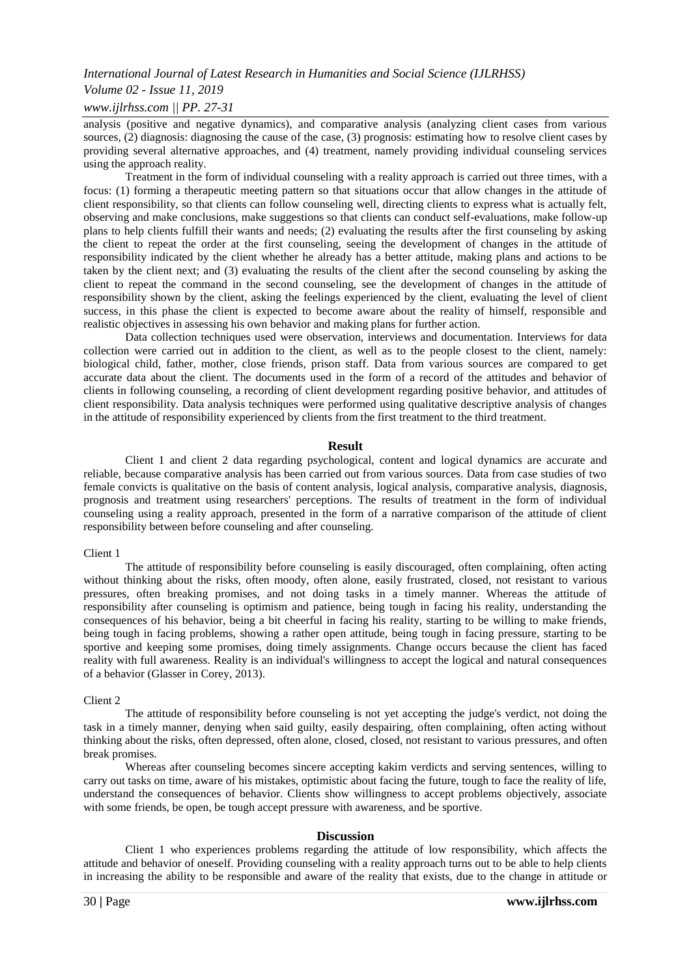## *Volume 02 - Issue 11, 2019*

## *www.ijlrhss.com || PP. 27-31*

analysis (positive and negative dynamics), and comparative analysis (analyzing client cases from various sources, (2) diagnosis: diagnosing the cause of the case, (3) prognosis: estimating how to resolve client cases by providing several alternative approaches, and (4) treatment, namely providing individual counseling services using the approach reality.

Treatment in the form of individual counseling with a reality approach is carried out three times, with a focus: (1) forming a therapeutic meeting pattern so that situations occur that allow changes in the attitude of client responsibility, so that clients can follow counseling well, directing clients to express what is actually felt, observing and make conclusions, make suggestions so that clients can conduct self-evaluations, make follow-up plans to help clients fulfill their wants and needs; (2) evaluating the results after the first counseling by asking the client to repeat the order at the first counseling, seeing the development of changes in the attitude of responsibility indicated by the client whether he already has a better attitude, making plans and actions to be taken by the client next; and (3) evaluating the results of the client after the second counseling by asking the client to repeat the command in the second counseling, see the development of changes in the attitude of responsibility shown by the client, asking the feelings experienced by the client, evaluating the level of client success, in this phase the client is expected to become aware about the reality of himself, responsible and realistic objectives in assessing his own behavior and making plans for further action.

Data collection techniques used were observation, interviews and documentation. Interviews for data collection were carried out in addition to the client, as well as to the people closest to the client, namely: biological child, father, mother, close friends, prison staff. Data from various sources are compared to get accurate data about the client. The documents used in the form of a record of the attitudes and behavior of clients in following counseling, a recording of client development regarding positive behavior, and attitudes of client responsibility. Data analysis techniques were performed using qualitative descriptive analysis of changes in the attitude of responsibility experienced by clients from the first treatment to the third treatment.

#### **Result**

Client 1 and client 2 data regarding psychological, content and logical dynamics are accurate and reliable, because comparative analysis has been carried out from various sources. Data from case studies of two female convicts is qualitative on the basis of content analysis, logical analysis, comparative analysis, diagnosis, prognosis and treatment using researchers' perceptions. The results of treatment in the form of individual counseling using a reality approach, presented in the form of a narrative comparison of the attitude of client responsibility between before counseling and after counseling.

#### Client 1

The attitude of responsibility before counseling is easily discouraged, often complaining, often acting without thinking about the risks, often moody, often alone, easily frustrated, closed, not resistant to various pressures, often breaking promises, and not doing tasks in a timely manner. Whereas the attitude of responsibility after counseling is optimism and patience, being tough in facing his reality, understanding the consequences of his behavior, being a bit cheerful in facing his reality, starting to be willing to make friends, being tough in facing problems, showing a rather open attitude, being tough in facing pressure, starting to be sportive and keeping some promises, doing timely assignments. Change occurs because the client has faced reality with full awareness. Reality is an individual's willingness to accept the logical and natural consequences of a behavior (Glasser in Corey, 2013).

#### Client 2

The attitude of responsibility before counseling is not yet accepting the judge's verdict, not doing the task in a timely manner, denying when said guilty, easily despairing, often complaining, often acting without thinking about the risks, often depressed, often alone, closed, closed, not resistant to various pressures, and often break promises.

Whereas after counseling becomes sincere accepting kakim verdicts and serving sentences, willing to carry out tasks on time, aware of his mistakes, optimistic about facing the future, tough to face the reality of life, understand the consequences of behavior. Clients show willingness to accept problems objectively, associate with some friends, be open, be tough accept pressure with awareness, and be sportive.

#### **Discussion**

Client 1 who experiences problems regarding the attitude of low responsibility, which affects the attitude and behavior of oneself. Providing counseling with a reality approach turns out to be able to help clients in increasing the ability to be responsible and aware of the reality that exists, due to the change in attitude or